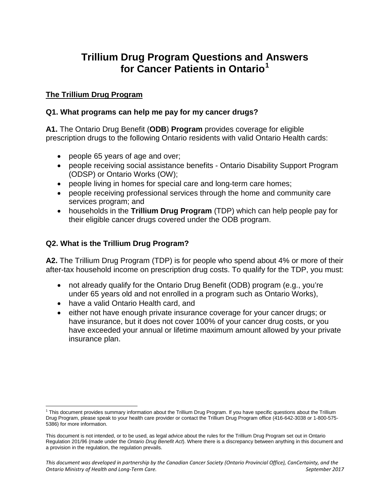# **Trillium Drug Program Questions and Answers for Cancer Patients in Ontario[1](#page-0-0)**

## **The Trillium Drug Program**

## **Q1. What programs can help me pay for my cancer drugs?**

**A1.** The Ontario Drug Benefit (**ODB**) **Program** provides coverage for eligible prescription drugs to the following Ontario residents with valid Ontario Health cards:

- people 65 years of age and over;
- people receiving social assistance benefits Ontario Disability Support Program (ODSP) or Ontario Works (OW);
- people living in homes for special care and long-term care homes;
- people receiving professional services through the home and community care services program; and
- households in the **Trillium Drug Program** (TDP) which can help people pay for their eligible cancer drugs covered under the ODB program.

## **Q2. What is the Trillium Drug Program?**

**A2.** The Trillium Drug Program (TDP) is for people who spend about 4% or more of their after-tax household income on prescription drug costs. To qualify for the TDP, you must:

- not already qualify for the Ontario Drug Benefit (ODB) program (e.g., you're under 65 years old and not enrolled in a program such as Ontario Works),
- have a valid Ontario Health card, and

 $\overline{\phantom{a}}$ 

• either not have enough private insurance coverage for your cancer drugs; or have insurance, but it does not cover 100% of your cancer drug costs, or you have exceeded your annual or lifetime maximum amount allowed by your private insurance plan.

<span id="page-0-0"></span><sup>1</sup> This document provides summary information about the Trillium Drug Program. If you have specific questions about the Trillium Drug Program, please speak to your health care provider or contact the Trillium Drug Program office (416-642-3038 or 1-800-575- 5386) for more information.

This document is not intended, or to be used, as legal advice about the rules for the Trillium Drug Program set out in Ontario Regulation 201/96 (made under the *Ontario Drug Benefit Act*). Where there is a discrepancy between anything in this document and a provision in the regulation, the regulation prevails.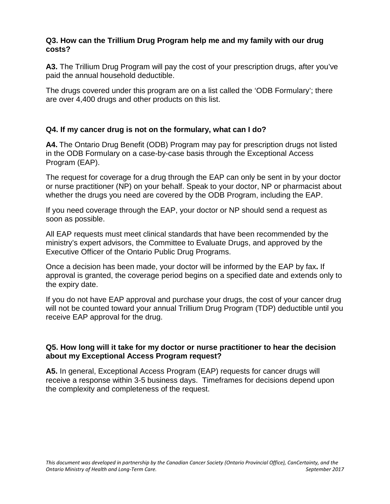#### **Q3. How can the Trillium Drug Program help me and my family with our drug costs?**

**A3.** The Trillium Drug Program will pay the cost of your prescription drugs, after you've paid the annual household deductible.

The drugs covered under this program are on a list called the 'ODB Formulary'; there are over 4,400 drugs and other products on this list.

## **Q4. If my cancer drug is not on the formulary, what can I do?**

**A4.** The Ontario Drug Benefit (ODB) Program may pay for prescription drugs not listed in the ODB Formulary on a case-by-case basis through the Exceptional Access Program (EAP).

The request for coverage for a drug through the EAP can only be sent in by your doctor or nurse practitioner (NP) on your behalf. Speak to your doctor, NP or pharmacist about whether the drugs you need are covered by the ODB Program, including the EAP.

If you need coverage through the EAP, your doctor or NP should send a request as soon as possible.

All EAP requests must meet clinical standards that have been recommended by the ministry's expert advisors, the Committee to Evaluate Drugs, and approved by the Executive Officer of the Ontario Public Drug Programs.

Once a decision has been made, your doctor will be informed by the EAP by fax**.** If approval is granted, the coverage period begins on a specified date and extends only to the expiry date.

If you do not have EAP approval and purchase your drugs, the cost of your cancer drug will not be counted toward your annual Trillium Drug Program (TDP) deductible until you receive EAP approval for the drug.

#### **Q5. How long will it take for my doctor or nurse practitioner to hear the decision about my Exceptional Access Program request?**

**A5.** In general, Exceptional Access Program (EAP) requests for cancer drugs will receive a response within 3-5 business days. Timeframes for decisions depend upon the complexity and completeness of the request.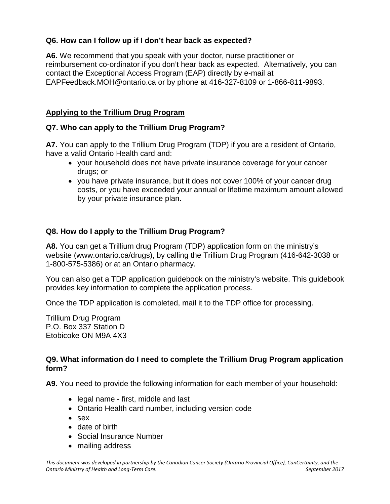# **Q6. How can I follow up if I don't hear back as expected?**

**A6.** We recommend that you speak with your doctor, nurse practitioner or reimbursement co-ordinator if you don't hear back as expected. Alternatively, you can contact the Exceptional Access Program (EAP) directly by e-mail at EAPFeedback.MOH@ontario.ca or by phone at 416-327-8109 or 1-866-811-9893.

# **Applying to the Trillium Drug Program**

# **Q7. Who can apply to the Trillium Drug Program?**

**A7.** You can apply to the Trillium Drug Program (TDP) if you are a resident of Ontario, have a valid Ontario Health card and:

- your household does not have private insurance coverage for your cancer drugs; or
- you have private insurance, but it does not cover 100% of your cancer drug costs, or you have exceeded your annual or lifetime maximum amount allowed by your private insurance plan.

# **Q8. How do I apply to the Trillium Drug Program?**

**A8.** You can get a Trillium drug Program (TDP) application form on the ministry's website (www.ontario.ca/drugs), by calling the Trillium Drug Program (416-642-3038 or 1-800-575-5386) or at an Ontario pharmacy.

You can also get a TDP application guidebook on the ministry's website. This guidebook provides key information to complete the application process.

Once the TDP application is completed, mail it to the TDP office for processing.

Trillium Drug Program P.O. Box 337 Station D Etobicoke ON M9A 4X3

## **Q9. What information do I need to complete the Trillium Drug Program application form?**

**A9.** You need to provide the following information for each member of your household:

- legal name first, middle and last
- Ontario Health card number, including version code
- sex
- date of birth
- Social Insurance Number
- mailing address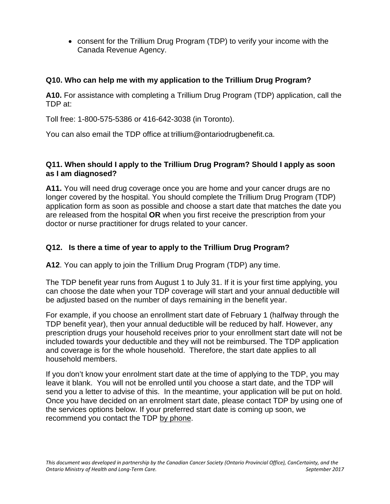• consent for the Trillium Drug Program (TDP) to verify your income with the Canada Revenue Agency.

# **Q10. Who can help me with my application to the Trillium Drug Program?**

**A10.** For assistance with completing a Trillium Drug Program (TDP) application, call the TDP at:

Toll free: 1-800-575-5386 or 416-642-3038 (in Toronto).

You can also email the TDP office at trillium@ontariodrugbenefit.ca.

## **Q11. When should I apply to the Trillium Drug Program? Should I apply as soon as I am diagnosed?**

**A11.** You will need drug coverage once you are home and your cancer drugs are no longer covered by the hospital. You should complete the Trillium Drug Program (TDP) application form as soon as possible and choose a start date that matches the date you are released from the hospital **OR** when you first receive the prescription from your doctor or nurse practitioner for drugs related to your cancer.

## **Q12. Is there a time of year to apply to the Trillium Drug Program?**

**A12**. You can apply to join the Trillium Drug Program (TDP) any time.

The TDP benefit year runs from August 1 to July 31. If it is your first time applying, you can choose the date when your TDP coverage will start and your annual deductible will be adjusted based on the number of days remaining in the benefit year.

For example, if you choose an enrollment start date of February 1 (halfway through the TDP benefit year), then your annual deductible will be reduced by half. However, any prescription drugs your household receives prior to your enrollment start date will not be included towards your deductible and they will not be reimbursed. The TDP application and coverage is for the whole household. Therefore, the start date applies to all household members.

If you don't know your enrolment start date at the time of applying to the TDP, you may leave it blank. You will not be enrolled until you choose a start date, and the TDP will send you a letter to advise of this. In the meantime, your application will be put on hold. Once you have decided on an enrolment start date, please contact TDP by using one of the services options below. If your preferred start date is coming up soon, we recommend you contact the TDP by phone.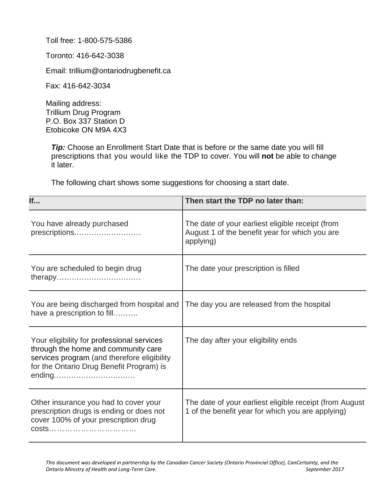Toll free: 1-800-575-5386

Toronto: 416-642-3038

Email: trillium@ontariodrugbenefit.ca

Fax: 416-642-3034

Mailing address: Trillium Drug Program P.O. Box 337 Station D Etobicoke ON M9A 4X3

**Tip:** Choose an Enrollment Start Date that is before or the same date you will fill prescriptions that you would like the TDP to cover. You will **not** be able to change it later.

The following chart shows some suggestions for choosing a start date.

| If                                                                                                                                                                           | Then start the TDP no later than:                                                                               |
|------------------------------------------------------------------------------------------------------------------------------------------------------------------------------|-----------------------------------------------------------------------------------------------------------------|
| You have already purchased<br>prescriptions                                                                                                                                  | The date of your earliest eligible receipt (from<br>August 1 of the benefit year for which you are<br>applying) |
| You are scheduled to begin drug                                                                                                                                              | The date your prescription is filled                                                                            |
| You are being discharged from hospital and<br>have a prescription to fill                                                                                                    | The day you are released from the hospital                                                                      |
| Your eligibility for professional services<br>through the home and community care<br>services program (and therefore eligibility<br>for the Ontario Drug Benefit Program) is | The day after your eligibility ends                                                                             |
| Other insurance you had to cover your<br>prescription drugs is ending or does not<br>cover 100% of your prescription drug<br>costs                                           | The date of your earliest eligible receipt (from August<br>1 of the benefit year for which you are applying)    |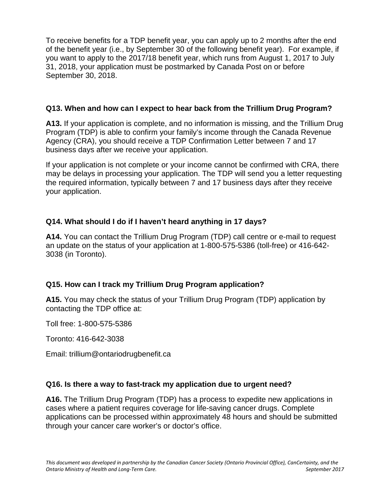To receive benefits for a TDP benefit year, you can apply up to 2 months after the end of the benefit year (i.e., by September 30 of the following benefit year). For example, if you want to apply to the 2017/18 benefit year, which runs from August 1, 2017 to July 31, 2018, your application must be postmarked by Canada Post on or before September 30, 2018.

## **Q13. When and how can I expect to hear back from the Trillium Drug Program?**

**A13.** If your application is complete, and no information is missing, and the Trillium Drug Program (TDP) is able to confirm your family's income through the Canada Revenue Agency (CRA), you should receive a TDP Confirmation Letter between 7 and 17 business days after we receive your application.

If your application is not complete or your income cannot be confirmed with CRA, there may be delays in processing your application. The TDP will send you a letter requesting the required information, typically between 7 and 17 business days after they receive your application.

# **Q14. What should I do if I haven't heard anything in 17 days?**

**A14.** You can contact the Trillium Drug Program (TDP) call centre or e-mail to request an update on the status of your application at 1-800-575-5386 (toll-free) or 416-642- 3038 (in Toronto).

# **Q15. How can I track my Trillium Drug Program application?**

**A15.** You may check the status of your Trillium Drug Program (TDP) application by contacting the TDP office at:

Toll free: 1-800-575-5386

Toronto: 416-642-3038

Email: trillium@ontariodrugbenefit.ca

## **Q16. Is there a way to fast-track my application due to urgent need?**

**A16.** The Trillium Drug Program (TDP) has a process to expedite new applications in cases where a patient requires coverage for life-saving cancer drugs. Complete applications can be processed within approximately 48 hours and should be submitted through your cancer care worker's or doctor's office.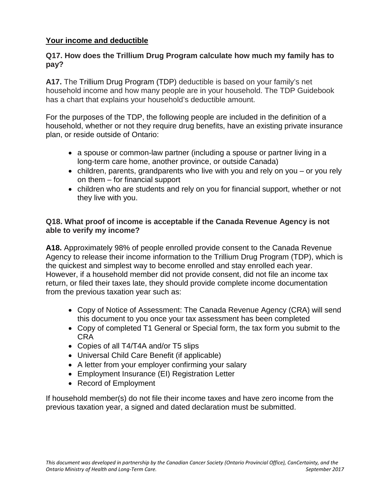## **Your income and deductible**

## **Q17. How does the Trillium Drug Program calculate how much my family has to pay?**

**A17.** The Trillium Drug Program (TDP) deductible is based on your family's net household income and how many people are in your household. The TDP Guidebook has a chart that explains your household's deductible amount.

For the purposes of the TDP, the following people are included in the definition of a household, whether or not they require drug benefits, have an existing private insurance plan, or reside outside of Ontario:

- a spouse or common-law partner (including a spouse or partner living in a long-term care home, another province, or outside Canada)
- children, parents, grandparents who live with you and rely on you or you rely on them – for financial support
- children who are students and rely on you for financial support, whether or not they live with you.

## **Q18. What proof of income is acceptable if the Canada Revenue Agency is not able to verify my income?**

**A18.** Approximately 98% of people enrolled provide consent to the Canada Revenue Agency to release their income information to the Trillium Drug Program (TDP), which is the quickest and simplest way to become enrolled and stay enrolled each year. However, if a household member did not provide consent, did not file an income tax return, or filed their taxes late, they should provide complete income documentation from the previous taxation year such as:

- Copy of Notice of Assessment: The Canada Revenue Agency (CRA) will send this document to you once your tax assessment has been completed
- Copy of completed T1 General or Special form, the tax form you submit to the CRA
- Copies of all T4/T4A and/or T5 slips
- Universal Child Care Benefit (if applicable)
- A letter from your employer confirming your salary
- Employment Insurance (EI) Registration Letter
- Record of Employment

If household member(s) do not file their income taxes and have zero income from the previous taxation year, a signed and dated declaration must be submitted.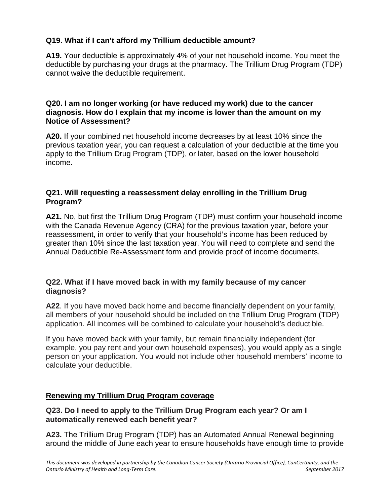# **Q19. What if I can't afford my Trillium deductible amount?**

**A19.** Your deductible is approximately 4% of your net household income. You meet the deductible by purchasing your drugs at the pharmacy. The Trillium Drug Program (TDP) cannot waive the deductible requirement.

## **Q20. I am no longer working (or have reduced my work) due to the cancer diagnosis. How do I explain that my income is lower than the amount on my Notice of Assessment?**

**A20.** If your combined net household income decreases by at least 10% since the previous taxation year, you can request a calculation of your deductible at the time you apply to the Trillium Drug Program (TDP), or later, based on the lower household income.

## **Q21. Will requesting a reassessment delay enrolling in the Trillium Drug Program?**

**A21.** No, but first the Trillium Drug Program (TDP) must confirm your household income with the Canada Revenue Agency (CRA) for the previous taxation year, before your reassessment, in order to verify that your household's income has been reduced by greater than 10% since the last taxation year. You will need to complete and send the Annual Deductible Re-Assessment form and provide proof of income documents.

## **Q22. What if I have moved back in with my family because of my cancer diagnosis?**

**A22**. If you have moved back home and become financially dependent on your family, all members of your household should be included on the Trillium Drug Program (TDP) application. All incomes will be combined to calculate your household's deductible.

If you have moved back with your family, but remain financially independent (for example, you pay rent and your own household expenses), you would apply as a single person on your application. You would not include other household members' income to calculate your deductible.

# **Renewing my Trillium Drug Program coverage**

## **Q23. Do I need to apply to the Trillium Drug Program each year? Or am I automatically renewed each benefit year?**

**A23.** The Trillium Drug Program (TDP) has an Automated Annual Renewal beginning around the middle of June each year to ensure households have enough time to provide